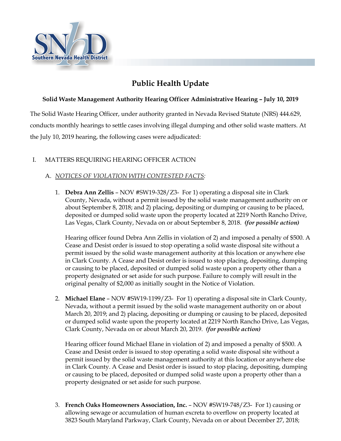

# **Public Health Update**

## **Solid Waste Management Authority Hearing Officer Administrative Hearing – July 10, 2019**

The Solid Waste Hearing Officer, under authority granted in Nevada Revised Statute (NRS) 444.629, conducts monthly hearings to settle cases involving illegal dumping and other solid waste matters. At the July 10, 2019 hearing, the following cases were adjudicated:

## I. MATTERS REQUIRING HEARING OFFICER ACTION

## A. *NOTICES OF VIOLATION WITH CONTESTED FACTS:*

1. **Debra Ann Zellis** – NOV #SW19-328/Z3- For 1) operating a disposal site in Clark County, Nevada, without a permit issued by the solid waste management authority on or about September 8, 2018; and 2) placing, depositing or dumping or causing to be placed, deposited or dumped solid waste upon the property located at 2219 North Rancho Drive, Las Vegas, Clark County, Nevada on or about September 8, 2018. *(for possible action)*

Hearing officer found Debra Ann Zellis in violation of 2) and imposed a penalty of \$500. A Cease and Desist order is issued to stop operating a solid waste disposal site without a permit issued by the solid waste management authority at this location or anywhere else in Clark County. A Cease and Desist order is issued to stop placing, depositing, dumping or causing to be placed, deposited or dumped solid waste upon a property other than a property designated or set aside for such purpose. Failure to comply will result in the original penalty of \$2,000 as initially sought in the Notice of Violation.

2. **Michael Elane** – NOV #SW19-1199/Z3- For 1) operating a disposal site in Clark County, Nevada, without a permit issued by the solid waste management authority on or about March 20, 2019; and 2) placing, depositing or dumping or causing to be placed, deposited or dumped solid waste upon the property located at 2219 North Rancho Drive, Las Vegas, Clark County, Nevada on or about March 20, 2019. *(for possible action)*

Hearing officer found Michael Elane in violation of 2) and imposed a penalty of \$500. A Cease and Desist order is issued to stop operating a solid waste disposal site without a permit issued by the solid waste management authority at this location or anywhere else in Clark County. A Cease and Desist order is issued to stop placing, depositing, dumping or causing to be placed, deposited or dumped solid waste upon a property other than a property designated or set aside for such purpose.

3. **French Oaks Homeowners Association, Inc.** – NOV #SW19-748/Z3- For 1) causing or allowing sewage or accumulation of human excreta to overflow on property located at 3823 South Maryland Parkway, Clark County, Nevada on or about December 27, 2018;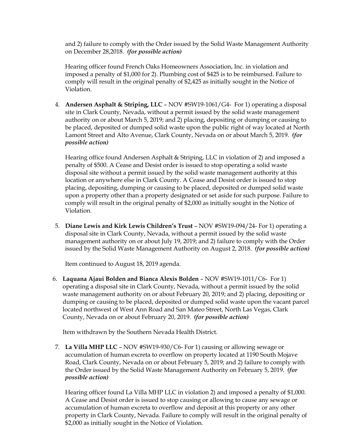and 2) failure to comply with the Order issued by the Solid Waste Management Authority on December 28,2018. *(for possible action)*

Hearing officer found French Oaks Homeowners Association, Inc. in violation and imposed a penalty of \$1,000 for 2). Plumbing cost of \$425 is to be reimbursed. Failure to comply will result in the original penalty of \$2,425 as initially sought in the Notice of Violation.

4. **Andersen Asphalt & Striping, LLC** – NOV #SW19-1061/G4- For 1) operating a disposal site in Clark County, Nevada, without a permit issued by the solid waste management authority on or about March 5, 2019; and 2) placing, depositing or dumping or causing to be placed, deposited or dumped solid waste upon the public right of way located at North Lamont Street and Alto Avenue, Clark County, Nevada on or about March 5, 2019. *(for possible action)*

Hearing office found Andersen Asphalt & Striping, LLC in violation of 2) and imposed a penalty of \$500. A Cease and Desist order is issued to stop operating a solid waste disposal site without a permit issued by the solid waste management authority at this location or anywhere else in Clark County. A Cease and Desist order is issued to stop placing, depositing, dumping or causing to be placed, deposited or dumped solid waste upon a property other than a property designated or set aside for such purpose. Failure to comply will result in the original penalty of \$2,000 as initially sought in the Notice of Violation.

5. **Diane Lewis and Kirk Lewis Children's Trust** – NOV #SW19-094/24- For 1) operating a disposal site in Clark County, Nevada, without a permit issued by the solid waste management authority on or about July 19, 2019; and 2) failure to comply with the Order issued by the Solid Waste Management Authority on August 2, 2018. *(for possible action)*

Item continued to August 18, 2019 agenda.

6. **Laquana Ajaui Bolden and Bianca Alexis Bolden** – NOV #SW19-1011/C6- For 1) operating a disposal site in Clark County, Nevada, without a permit issued by the solid waste management authority on or about February 20, 2019; and 2) placing, depositing or dumping or causing to be placed, deposited or dumped solid waste upon the vacant parcel located northwest of West Ann Road and San Mateo Street, North Las Vegas, Clark County, Nevada on or about February 20, 2019. *(for possible action)*

Item withdrawn by the Southern Nevada Health District.

7. **La Villa MHP LLC** – NOV #SW19-930/C6- For 1) causing or allowing sewage or accumulation of human excreta to overflow on property located at 1190 South Mojave Road, Clark County, Nevada on or about February 5, 2019; and 2) failure to comply with the Order issued by the Solid Waste Management Authority on February 5, 2019. *(for possible action)*

Hearing officer found La Villa MHP LLC in violation 2) and imposed a penalty of \$1,000. A Cease and Desist order is issued to stop causing or allowing to cause any sewage or accumulation of human excreta to overflow and deposit at this property or any other property in Clark County, Nevada. Failure to comply will result in the original penalty of \$2,000 as initially sought in the Notice of Violation.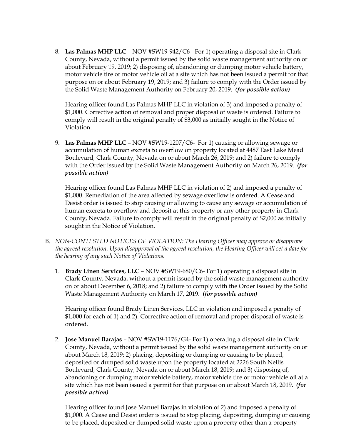8. **Las Palmas MHP LLC** – NOV #SW19-942/C6- For 1) operating a disposal site in Clark County, Nevada, without a permit issued by the solid waste management authority on or about February 19, 2019; 2) disposing of, abandoning or dumping motor vehicle battery, motor vehicle tire or motor vehicle oil at a site which has not been issued a permit for that purpose on or about February 19, 2019; and 3) failure to comply with the Order issued by the Solid Waste Management Authority on February 20, 2019. *(for possible action)*

Hearing officer found Las Palmas MHP LLC in violation of 3) and imposed a penalty of \$1,000. Corrective action of removal and proper disposal of waste is ordered. Failure to comply will result in the original penalty of \$3,000 as initially sought in the Notice of Violation.

9. **Las Palmas MHP LLC** – NOV #SW19-1207/C6- For 1) causing or allowing sewage or accumulation of human excreta to overflow on property located at 4487 East Lake Mead Boulevard, Clark County, Nevada on or about March 26, 2019; and 2) failure to comply with the Order issued by the Solid Waste Management Authority on March 26, 2019. *(for possible action)*

Hearing officer found Las Palmas MHP LLC in violation of 2) and imposed a penalty of \$1,000. Remediation of the area affected by sewage overflow is ordered. A Cease and Desist order is issued to stop causing or allowing to cause any sewage or accumulation of human excreta to overflow and deposit at this property or any other property in Clark County, Nevada. Failure to comply will result in the original penalty of \$2,000 as initially sought in the Notice of Violation.

- B. *NON-CONTESTED NOTICES OF VIOLATION: The Hearing Officer may approve or disapprove the agreed resolution. Upon disapproval of the agreed resolution, the Hearing Officer will set a date for the hearing of any such Notice of Violations.*
	- 1. **Brady Linen Services, LLC**  NOV #SW19-680/C6- For 1) operating a disposal site in Clark County, Nevada, without a permit issued by the solid waste management authority on or about December 6, 2018; and 2) failure to comply with the Order issued by the Solid Waste Management Authority on March 17, 2019. *(for possible action)*

Hearing officer found Brady Linen Services, LLC in violation and imposed a penalty of \$1,000 for each of 1) and 2). Corrective action of removal and proper disposal of waste is ordered.

2. **Jose Manuel Barajas** – NOV #SW19-1176/G4- For 1) operating a disposal site in Clark County, Nevada, without a permit issued by the solid waste management authority on or about March 18, 2019; 2) placing, depositing or dumping or causing to be placed, deposited or dumped solid waste upon the property located at 2226 South Nellis Boulevard, Clark County, Nevada on or about March 18, 2019; and 3) disposing of, abandoning or dumping motor vehicle battery, motor vehicle tire or motor vehicle oil at a site which has not been issued a permit for that purpose on or about March 18, 2019. *(for possible action)*

Hearing officer found Jose Manuel Barajas in violation of 2) and imposed a penalty of \$1,000. A Cease and Desist order is issued to stop placing, depositing, dumping or causing to be placed, deposited or dumped solid waste upon a property other than a property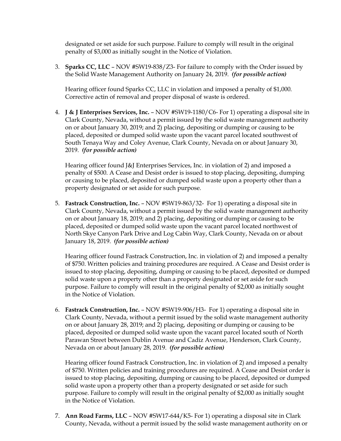designated or set aside for such purpose. Failure to comply will result in the original penalty of \$3,000 as initially sought in the Notice of Violation.

3. **Sparks CC, LLC** – NOV #SW19-838/Z3- For failure to comply with the Order issued by the Solid Waste Management Authority on January 24, 2019. *(for possible action)*

Hearing officer found Sparks CC, LLC in violation and imposed a penalty of \$1,000. Corrective actin of removal and proper disposal of waste is ordered.

4. **J & J Enterprises Services, Inc.** – NOV #SW19-1180/C6- For 1) operating a disposal site in Clark County, Nevada, without a permit issued by the solid waste management authority on or about January 30, 2019; and 2) placing, depositing or dumping or causing to be placed, deposited or dumped solid waste upon the vacant parcel located southwest of South Tenaya Way and Coley Avenue, Clark County, Nevada on or about January 30, 2019. *(for possible action)*

Hearing officer found J&J Enterprises Services, Inc. in violation of 2) and imposed a penalty of \$500. A Cease and Desist order is issued to stop placing, depositing, dumping or causing to be placed, deposited or dumped solid waste upon a property other than a property designated or set aside for such purpose.

5. **Fastrack Construction, Inc.** – NOV #SW19-863/32- For 1) operating a disposal site in Clark County, Nevada, without a permit issued by the solid waste management authority on or about January 18, 2019; and 2) placing, depositing or dumping or causing to be placed, deposited or dumped solid waste upon the vacant parcel located northwest of North Skye Canyon Park Drive and Log Cabin Way, Clark County, Nevada on or about January 18, 2019. *(for possible action)*

Hearing officer found Fastrack Construction, Inc. in violation of 2) and imposed a penalty of \$750. Written policies and training procedures are required. A Cease and Desist order is issued to stop placing, depositing, dumping or causing to be placed, deposited or dumped solid waste upon a property other than a property designated or set aside for such purpose. Failure to comply will result in the original penalty of \$2,000 as initially sought in the Notice of Violation.

6. **Fastrack Construction, Inc.** – NOV #SW19-906/H3- For 1) operating a disposal site in Clark County, Nevada, without a permit issued by the solid waste management authority on or about January 28, 2019; and 2) placing, depositing or dumping or causing to be placed, deposited or dumped solid waste upon the vacant parcel located south of North Parawan Street between Dublin Avenue and Cadiz Avenue, Henderson, Clark County, Nevada on or about January 28, 2019. *(for possible action)*

Hearing officer found Fastrack Construction, Inc. in violation of 2) and imposed a penalty of \$750. Written policies and training procedures are required. A Cease and Desist order is issued to stop placing, depositing, dumping or causing to be placed, deposited or dumped solid waste upon a property other than a property designated or set aside for such purpose. Failure to comply will result in the original penalty of \$2,000 as initially sought in the Notice of Violation.

7. **Ann Road Farms, LLC** – NOV #SW17-644/K5- For 1) operating a disposal site in Clark County, Nevada, without a permit issued by the solid waste management authority on or